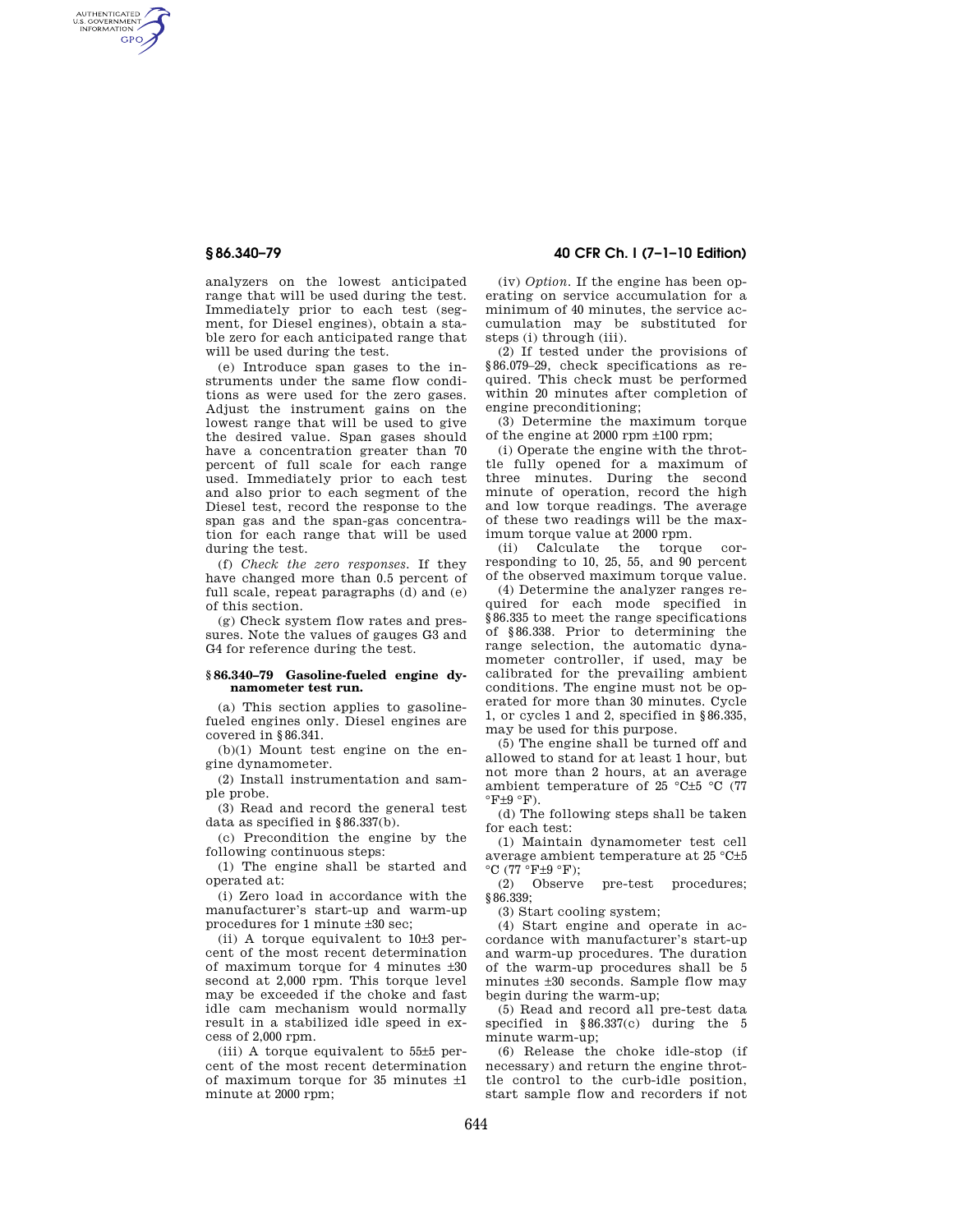AUTHENTICATED<br>U.S. GOVERNMENT<br>INFORMATION **GPO** 

> analyzers on the lowest anticipated range that will be used during the test. Immediately prior to each test (segment, for Diesel engines), obtain a stable zero for each anticipated range that will be used during the test.

> (e) Introduce span gases to the instruments under the same flow conditions as were used for the zero gases. Adjust the instrument gains on the lowest range that will be used to give the desired value. Span gases should have a concentration greater than 70 percent of full scale for each range used. Immediately prior to each test and also prior to each segment of the Diesel test, record the response to the span gas and the span-gas concentration for each range that will be used during the test.

> (f) *Check the zero responses.* If they have changed more than 0.5 percent of full scale, repeat paragraphs (d) and (e) of this section.

> (g) Check system flow rates and pressures. Note the values of gauges G3 and G4 for reference during the test.

## **§ 86.340–79 Gasoline-fueled engine dynamometer test run.**

(a) This section applies to gasolinefueled engines only. Diesel engines are covered in §86.341.

(b)(1) Mount test engine on the engine dynamometer.

(2) Install instrumentation and sample probe.

(3) Read and record the general test data as specified in §86.337(b).

(c) Precondition the engine by the following continuous steps:

(1) The engine shall be started and operated at:

(i) Zero load in accordance with the manufacturer's start-up and warm-up procedures for 1 minute ±30 sec;

(ii) A torque equivalent to 10±3 percent of the most recent determination of maximum torque for 4 minutes ±30 second at 2,000 rpm. This torque level may be exceeded if the choke and fast idle cam mechanism would normally result in a stabilized idle speed in excess of 2,000 rpm.

(iii) A torque equivalent to 55±5 percent of the most recent determination of maximum torque for 35 minutes ±1 minute at 2000 rpm;

# **§ 86.340–79 40 CFR Ch. I (7–1–10 Edition)**

(iv) *Option.* If the engine has been operating on service accumulation for a minimum of 40 minutes, the service accumulation may be substituted for steps (i) through (iii).

(2) If tested under the provisions of §86.079–29, check specifications as required. This check must be performed within 20 minutes after completion of engine preconditioning;

(3) Determine the maximum torque of the engine at 2000 rpm ±100 rpm;

(i) Operate the engine with the throttle fully opened for a maximum of three minutes. During the second minute of operation, record the high and low torque readings. The average of these two readings will be the maximum torque value at 2000 rpm.

(ii) Calculate the torque corresponding to 10, 25, 55, and 90 percent of the observed maximum torque value.

(4) Determine the analyzer ranges required for each mode specified in §86.335 to meet the range specifications of §86.338. Prior to determining the range selection, the automatic dynamometer controller, if used, may be calibrated for the prevailing ambient conditions. The engine must not be operated for more than 30 minutes. Cycle 1, or cycles 1 and 2, specified in §86.335, may be used for this purpose.

(5) The engine shall be turned off and allowed to stand for at least 1 hour, but not more than 2 hours, at an average ambient temperature of 25 °C±5 °C (77  $\mathrm{F+9} \mathrm{~} \mathrm{F}$ ).

(d) The following steps shall be taken for each test:

(1) Maintain dynamometer test cell average ambient temperature at 25 °C±5  $^{\circ}C$  (77  $^{\circ}F \pm 9$   $^{\circ}F$ );<br>(2) Observe

pre-test procedures; §86.339:

(3) Start cooling system;

(4) Start engine and operate in accordance with manufacturer's start-up and warm-up procedures. The duration of the warm-up procedures shall be 5 minutes ±30 seconds. Sample flow may begin during the warm-up;

(5) Read and record all pre-test data specified in §86.337(c) during the 5 minute warm-up;

(6) Release the choke idle-stop (if necessary) and return the engine throttle control to the curb-idle position, start sample flow and recorders if not